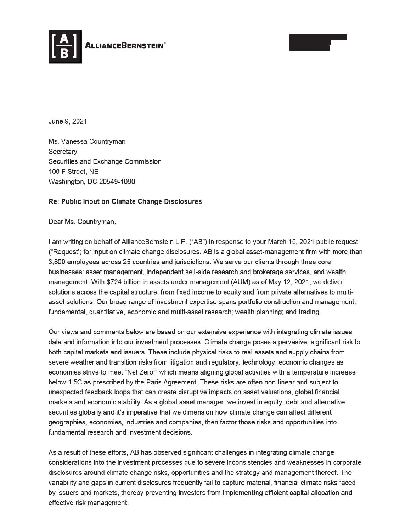

June 9, 2021

Ms. Vanessa Countryman **Secretary** Securities and Exchange Commission 100 F Street, NE Washington, DC 20549-1090

## Re: Public Input on Climate Change Disclosures

Dear Ms. Countryman,

I am writing on behalf of AllianceBernstein L.P. ("AB") in response to your March 15, 2021 public request ("Request') for input on climate change disclosures. AB is a global asset-management firm with more than 3,800 employees across 25 countries and jurisdictions. We serve our clients through three core businesses: asset management, independent sell-side research and brokerage services, and wealth management. With \$724 billion in assets under management (AUM) as of May 12, 2021 , we deliver solutions across the capital structure, from fixed income to equity and from private alternatives to multiasset solutions. Our broad range of investment expertise spans portfolio construction and management; fundamental, quantitative, economic and multi-asset research; wealth planning; and trading.

Our views and comments below are based on our extensive experience with integrating climate issues, data and information into our investment processes. Climate change poses a pervasive, significant risk to both capital markets and issuers. These include physical risks to real assets and supply chains from severe weather and transition risks from litigation and regulatory, technology, economic changes as economies strive to meet "Net Zero," which means aligning global activities with a temperature increase below 1.5C as prescribed by the Paris Agreement. These risks are often non-linear and subject to unexpected feedback loops that can create disruptive impacts on asset valuations, global financial markets and economic stability. As a global asset manager, we invest in equity, debt and alternative securities globally and it's imperative that we dimension how climate change can affect different geographies, economies, industries and companies, then factor those risks and opportunities into fundamental research and investment decisions.

As a result of these efforts, AB has observed significant challenges in integrating climate change considerations into the investment processes due to severe inconsistencies and weaknesses in corporate disclosures around climate change risks, opportunities and the strategy and management thereof. The variability and gaps in current disclosures frequently fail to capture material, financial climate risks faced by issuers and markets, thereby preventing investors from implementing efficient capital allocation and effective risk management.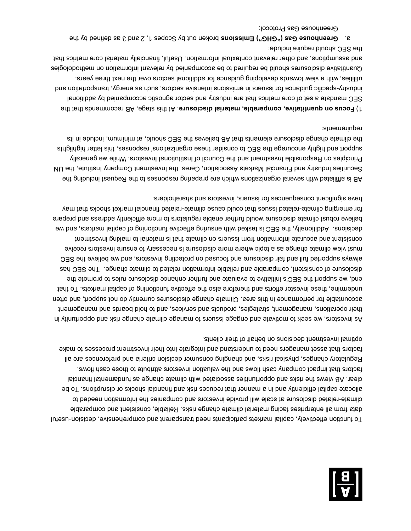

To function effectively, capital narkets participants need transparent and comprehensive, decision-useful ald and combarable data from a from a from a from a from all enterprises in the relation of the mounted parage related disclosure at scale will provide investors and companies the information needed to - climate allocate capital efficiently and in a manner that reduces risk and financial shocks or disruptions. To be Isions also associated with climate as fundamental financial financial financial financial financial financial factors that impact company cash flows and the valuation investors attribute to those cash flows. are all Regulatory changes, physical risks, and changing consumer decision criteria and preferences factors that asset managers need to understand and integrate into their investment processes to make optimal investment decisions on behalf of their clients.

As investors, we seek to motivate and engage issuers to manage climate change risk and opportunity in their operations, management, strategies, products and services, and to hold boards and management accountable for performance in this area. Climate change disclosures currently do not support, and often undermine, the evaluation functioning of the effective functioning of capital narkets. To that end, we support the SEC's initiative to evaluate and further enhance disclosure rules to promote the as disclosure of constant, comparable and reliable incident information related to climate change in CEC has always supported full and fair disclosure and focused on protecting investors, and we believe the SEC must view climate change as a topic where more disclosure is necessary to ensure investors receive tnemts our prissuers on climate that is matterial to material to may be independent and actual that included decisions. Additionally, the SEC is tasked with ensuring effective functioning of capital markets, and we believe robust climate disclosure would further enable regulators to more efficiently address and prepare for emerging climate-related issues that could cause climate-related financial market shocks that may have significant consequences for issuers, investors and shareholders.

AB is attiliated with several organization and actorius the Resbours or the Reduest including the Securities Industry and Financial Markets Association, Ceres, the Investment Company Institute, the UN Principles on Responsible Investment and the Council of Institutional Investors. While we generally stright and highly encourage the SEC to consider these organizations' responses, this letter highlights the climate change disclosure elements that AB believes the SEC should in the munimum, include in its requirements:

Focus on quantitative, comparable, national disclosure. At this stage, AB recommends that the SEC mandate a set of core metrics that are industry and sector agnostic accompanied by additional industry-specific guidance for issuers in emissions intensive sectors, such as energy, transportance on a buy , with a view towards developing guidance for additional sectors over the next three years. utilities Quantitative disclosures should be required to be accompanied by relevant information on methodologies suful, finally material material material information. Useful, financial material core metrics that the SEC should require include:

a. Greenhouse Gas ("GHG") Emissions broken out by Scopes 1, 2 and 3 as defined by the Greenhouse Gas Protocol;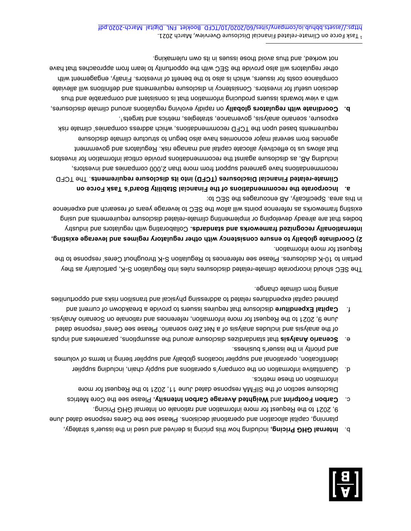

- b. **Internal GHG Pricing,** including how this primition be is derived and used in the issuer's strategy, planning, capital allocation and operational decisions. Please see the Ceres response dated June 9, 2021 to the Request for more information and rationale on Internal GHG Pricing.
- Please see the Core Metrics **ity. Weighted Average Carbon Intens** and **Carbon Footprint** c. Disclosure section of the SIFMA response dated June 11, 2021 to the Request for more information on these metrics.
- Quantitative information on the company's operations and supply chain, including supplier d. identification, operations and supplier locations globally and supplier tiering in terms of volumes and priority in the issuer's business.
- e. Scenario Analysis tart standard the assumption the assumptions, parameters and inputs beth same seed cerestions and here cores are census of the seed ceres' response dated June 9, 2021 to the Request for more information, rederences and rationale on Scenario Analysis.
- f. Gapital Expenditure disclosure that requires issuers to provide a breakdown of current and planned capital expenditures related to abdressing phisical and transition risks and opportunities arising from climate change.

The SEC should incorporate climate-related disclosures rules into Regulation S-K, particularly as they pertain to 10-K disclosures. Please see references to Regulation S-K throughout Ceres' response to the Request for more information.

**2) Coordinate globally to ensure consistency with other regulatory regimes and leverage existing,** Collaborating with regulators and industry **internationally recognized frameworks and standards.**  poqies that are sheep developing or implementing climate-related disclosure reduirements and using existing frameworks as reference points will allow the SEC to leverage years of research and experience in this area. Specifically, AB encourages the SEC to:

- **on Task Force Incorporate the recommendations of the Financial Stability Board's a.** . The TCFD **related Financial Disclosures (TCFD) into its disclosure requirements - Climate** recommendations have garnered support from more than 2,000 companies and investors, including AB, as disclosure against the recommendations provide critical information for investors that allows us to effectively allocate capital and manage risk. Regulators and government agencies from several major economies have also begun to structure climate disclosure s companies requirements based upon the TCFD recommendational values which address companies' share risk exposure, scenario analysis, governance, strategies, metrics and targets<sup>1</sup>.
- **b.** Coordinate with regulario golobally on rapidly evolving regulations around climate disclosures, ent bus elds and thus with a view to many comparable and thus with a view to thim decision useful for investors. Consistency in disclosure requirements and definitions will alleviate compliance costs for issuers, which is also to the benefit of investors. Finally, engagement with other regulators will also provide the SEC with the opportunity to learn from approaches that have not worked, and thus avoid those issues in its own rulemaking.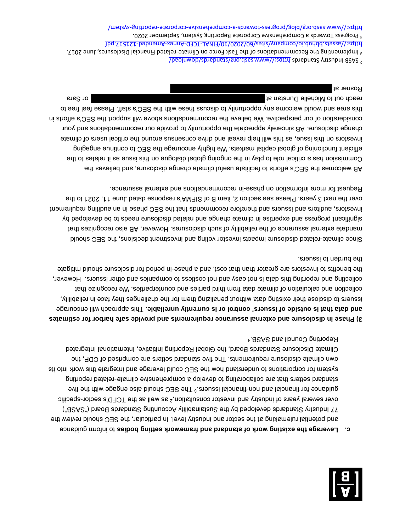

to **Leverage the existing work of standard and framework setting bodies to inform guidance** and potential rulemaking at the sector and industry level. In particular, the SEC should review the 77 Industry Standards developed by the Sustainability Accounting Standards Board ("SASB") over several years of industry and investor consultation,<sup>2</sup> as well as the TCFD's sector-specific financial issuers. - guidance for financial and non The SEC should also engage with the five 3 gratio and refreque that superstanding to develop a comprehensive climate-related reporting sti of this work into its system of the system for the section in the section in the set of unito its own climate disclosure requirements. The five standard setters are comprised of CDP, the Climate Disclosure Standards Board, the Global Reporting Initiative, International Integrated Reporting Council and SASB.4

**n disclosure and external assurance requirements and provide safe harbor for estimates 3) Phase i** and data that is outside of issuers' control or is currently unreliable. This approach will encourage the challenges they reliability, in reliability, in reliability, in reliable the challenges they face in reliab collection and calculation of climate data from third parties and counterparties. We recognize that collecting and reporting this data is not easy and not costless to companies and other issuers. However, the benefits to lind and show that cost, and a phase-in period for disclosure should mitigate the burden to issuers.

related disclosure impacts investor voting and investment decisions, the SEC should - Since climate reliability of such disclosures. However, AB and the such disclosures. However, AB also recognizes that significant progress and expertise in climate change and related disclosure needs to be developed by investors, auditors and issuers and therefore recommends that the SEC phase in an auditing requirement over the next 3 years. Please see section 2, item B of SIFMA's response dated June 11, 2021 to the Fequest for more information on phase-in recommendations and external assurance.

AB welcomes the SEC's ethors to facilitate useful climate change disclosure, and believes the Commission has a critical role to play in the ongoing global dialogue on this issue as it relates to the efficient functioning of global capital markets. We highly encourage the SEC to continue engaging stamilo to ensue, as the will help reveal and drive consensus and the critical users of climate change disclosure. AB sincerely appreciate the opportunity to provide our recommendations and your consideration of our perspective. Our believe the recommendations and we will support the SEC's efforts in this area and would we also accome and coupled to appropre these with the SEC's staff. Please feel free to or Sara reach out to Michelle Dunstan at the Michelle Dunstan at the Michelle Dunstan at the Michelle Dunstan at the Michelle Dunstan at the Michelle Dunstan at the Michelle Dunstan at the Michelle Dunstan at the Michelle

Rosner at

<sup>2</sup> https://www.sasb.org/standard.com/standards/standard/space-scandard/ Space S

 $3$  relatives, Tau and Disclosures, Disclosures, Disclosures, Proprenting the Papacial Disclosures, Puncanations  $\epsilon$ https://asts.bbhub.company/group/07/070202/09/2020/2020/01/dundd.company/sites/ .0S0S 19dmetqe2 ,metevensive Corporate Reporting System , September 2020.

system/ - reporting - corporate - comprehensive - a- ards tow - https://www.sasb.org/blog/progress